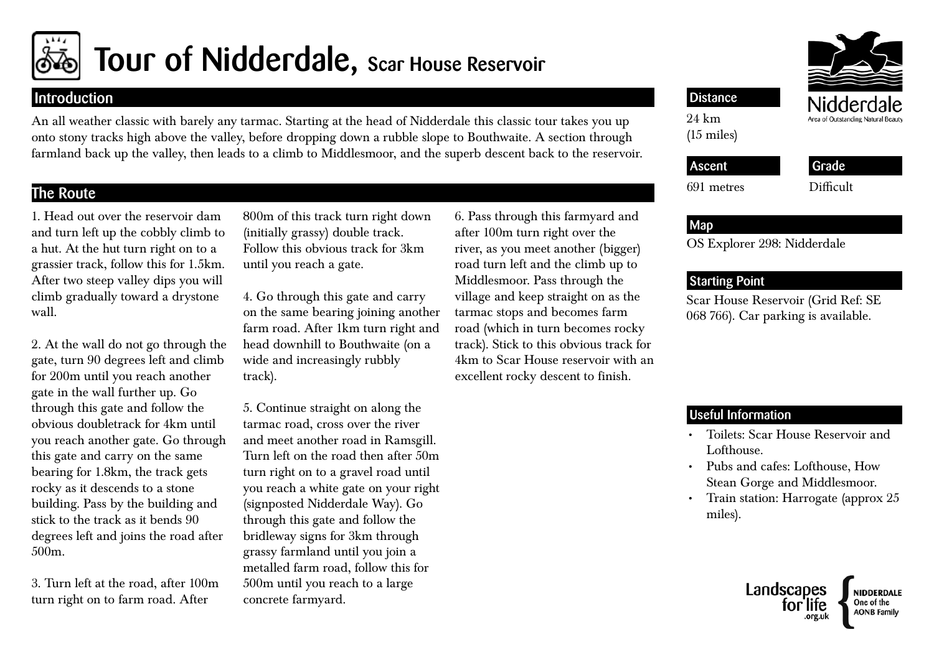

# Tour of Nidderdale, Scar House Reservoir

## Introduction

An all weather classic with barely any tarmac. Starting at the head of Nidderdale this classic tour takes you up onto stony tracks high above the valley, before dropping down a rubble slope to Bouthwaite. A section through farmland back up the valley, then leads to a climb to Middlesmoor, and the superb descent back to the reservoir.

# The Route

1. Head out over the reservoir dam and turn left up the cobbly climb to a hut. At the hut turn right on to a grassier track, follow this for 1.5km. After two steep valley dips you will climb gradually toward a drystone wall.

2. At the wall do not go through the gate, turn 90 degrees left and climb for 200m until you reach another gate in the wall further up. Go through this gate and follow the obvious doubletrack for 4km until you reach another gate. Go through this gate and carry on the same bearing for 1.8km, the track gets rocky as it descends to a stone building. Pass by the building and stick to the track as it bends 90 degrees left and joins the road after 500m.

3. Turn left at the road, after 100m turn right on to farm road. After

800m of this track turn right down (initially grassy) double track. Follow this obvious track for 3km until you reach a gate.

4. Go through this gate and carry on the same bearing joining another farm road. After 1km turn right and head downhill to Bouthwaite (on a wide and increasingly rubbly track).

5. Continue straight on along the tarmac road, cross over the river and meet another road in Ramsgill. Turn left on the road then after 50m turn right on to a gravel road until you reach a white gate on your right (signposted Nidderdale Way). Go through this gate and follow the bridleway signs for 3km through grassy farmland until you join a metalled farm road, follow this for 500m until you reach to a large concrete farmyard.

6. Pass through this farmyard and after 100m turn right over the river, as you meet another (bigger) road turn left and the climb up to Middlesmoor. Pass through the village and keep straight on as the tarmac stops and becomes farm road (which in turn becomes rocky track). Stick to this obvious track for 4km to Scar House reservoir with an excellent rocky descent to finish.

## **Distance**

24 km (15 miles)

691 metres

# Ascent

Grade

Difficult

## Map

OS Explorer 298: Nidderdale

## Starting Point

Scar House Reservoir (Grid Ref: SE 068 766). Car parking is available.

## Useful Information

- • Toilets: Scar House Reservoir and Lofthouse.
- • Pubs and cafes: Lofthouse, How Stean Gorge and Middlesmoor.
- Train station: Harrogate (approx 25 miles).